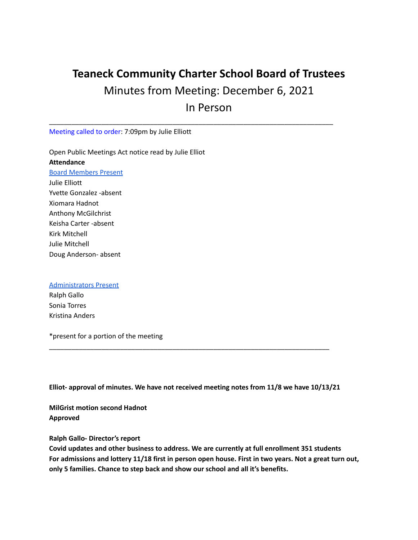## **Teaneck Community Charter School Board of Trustees** Minutes from Meeting: December 6, 2021 In Person

\_\_\_\_\_\_\_\_\_\_\_\_\_\_\_\_\_\_\_\_\_\_\_\_\_\_\_\_\_\_\_\_\_\_\_\_\_\_\_\_\_\_\_\_\_\_\_\_\_\_\_\_\_\_\_\_\_\_\_\_\_\_\_\_\_\_\_\_\_\_\_\_\_\_\_\_

Meeting called to order: 7:09pm by Julie Elliott

Open Public Meetings Act notice read by Julie Elliot **Attendance** Board Members Present Julie Elliott Yvette Gonzalez -absent Xiomara Hadnot Anthony McGilchrist Keisha Carter -absent Kirk Mitchell Julie Mitchell Doug Anderson- absent

## Administrators Present

Ralph Gallo Sonia Torres Kristina Anders

\*present for a portion of the meeting

**Elliot- approval of minutes. We have not received meeting notes from 11/8 we have 10/13/21**

\_\_\_\_\_\_\_\_\_\_\_\_\_\_\_\_\_\_\_\_\_\_\_\_\_\_\_\_\_\_\_\_\_\_\_\_\_\_\_\_\_\_\_\_\_\_\_\_\_\_\_\_\_\_\_\_\_\_\_\_\_\_\_\_\_\_\_\_\_\_\_\_\_\_\_

**MilGrist motion second Hadnot Approved**

**Ralph Gallo- Director's report**

**Covid updates and other business to address. We are currently at full enrollment 351 students** For admissions and lottery 11/18 first in person open house. First in two years. Not a great turn out, **only 5 families. Chance to step back and show our school and all it's benefits.**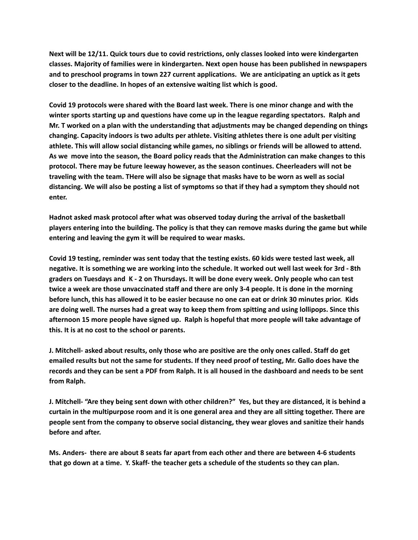**Next will be 12/11. Quick tours due to covid restrictions, only classes looked into were kindergarten classes. Majority of families were in kindergarten. Next open house has been published in newspapers and to preschool programs in town 227 current applications. We are anticipating an uptick as it gets closer to the deadline. In hopes of an extensive waiting list which is good.**

**Covid 19 protocols were shared with the Board last week. There is one minor change and with the winter sports starting up and questions have come up in the league regarding spectators. Ralph and Mr. T worked on a plan with the understanding that adjustments may be changed depending on things changing. Capacity indoors is two adults per athlete. Visiting athletes there is one adult per visiting athlete. This will allow social distancing while games, no siblings or friends will be allowed to attend.** As we move into the season, the Board policy reads that the Administration can make changes to this **protocol. There may be future leeway however, as the season continues. Cheerleaders will not be** traveling with the team. THere will also be signage that masks have to be worn as well as social distancing. We will also be posting a list of symptoms so that if they had a symptom they should not **enter.**

**Hadnot asked mask protocol after what was observed today during the arrival of the basketball** players entering into the building. The policy is that they can remove masks during the game but while **entering and leaving the gym it will be required to wear masks.**

Covid 19 testing, reminder was sent today that the testing exists. 60 kids were tested last week, all negative. It is something we are working into the schedule. It worked out well last week for 3rd - 8th graders on Tuesdays and K - 2 on Thursdays. It will be done every week. Only people who can test twice a week are those unvaccinated staff and there are only 3-4 people. It is done in the morning before lunch, this has allowed it to be easier because no one can eat or drink 30 minutes prior. Kids are doing well. The nurses had a great way to keep them from spitting and using lollipops. Since this **afternoon 15 more people have signed up. Ralph is hopeful that more people will take advantage of this. It is at no cost to the school or parents.**

J. Mitchell- asked about results, only those who are positive are the only ones called. Staff do get emailed results but not the same for students. If they need proof of testing, Mr. Gallo does have the records and they can be sent a PDF from Ralph. It is all housed in the dashboard and needs to be sent **from Ralph.**

J. Mitchell- "Are they being sent down with other children?" Yes, but they are distanced, it is behind a curtain in the multipurpose room and it is one general area and they are all sitting together. There are **people sent from the company to observe social distancing, they wear gloves and sanitize their hands before and after.**

**Ms. Anders- there are about 8 seats far apart from each other and there are between 4-6 students** that go down at a time. Y. Skaff- the teacher gets a schedule of the students so they can plan.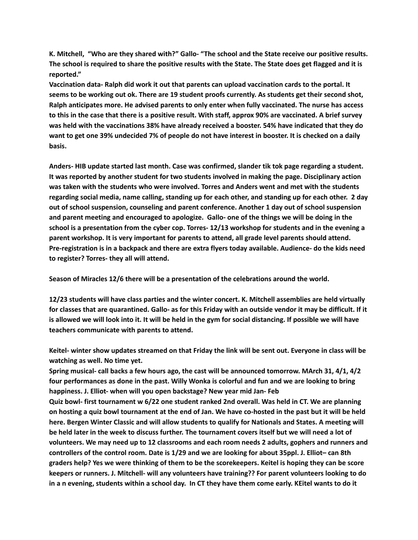**K. Mitchell, "Who are they shared with?" Gallo- "The school and the State receive our positive results.** The school is required to share the positive results with the State. The State does get flagged and it is **reported."**

**Vaccination data- Ralph did work it out that parents can upload vaccination cards to the portal. It** seems to be working out ok. There are 19 student proofs currently. As students get their second shot, **Ralph anticipates more. He advised parents to only enter when fully vaccinated. The nurse has access** to this in the case that there is a positive result. With staff, approx 90% are vaccinated. A brief survey **was held with the vaccinations 38% have already received a booster. 54% have indicated that they do** want to get one 39% undecided 7% of people do not have interest in booster. It is checked on a daily **basis.**

**Anders- HIB update started last month. Case was confirmed, slander tik tok page regarding a student. It was reported by another student for two students involved in making the page. Disciplinary action was taken with the students who were involved. Torres and Anders went and met with the students** regarding social media, name calling, standing up for each other, and standing up for each other. 2 day **out of school suspension, counseling and parent conference. Another 1 day out of school suspension and parent meeting and encouraged to apologize. Gallo- one of the things we will be doing in the** school is a presentation from the cyber cop. Torres-12/13 workshop for students and in the evening a **parent workshop. It is very important for parents to attend, all grade level parents should attend. Pre-registration is in a backpack and there are extra flyers today available. Audience- do the kids need to register? Torres- they all will attend.**

**Season of Miracles 12/6 there will be a presentation of the celebrations around the world.**

**12/23 students will have class parties and the winter concert. K. Mitchell assemblies are held virtually** for classes that are quarantined. Gallo- as for this Friday with an outside vendor it may be difficult. If it is allowed we will look into it. It will be held in the gym for social distancing. If possible we will have **teachers communicate with parents to attend.**

Keitel- winter show updates streamed on that Friday the link will be sent out. Everyone in class will be **watching as well. No time yet.**

Spring musical- call backs a few hours ago, the cast will be announced tomorrow. MArch 31, 4/1, 4/2 four performances as done in the past. Willy Wonka is colorful and fun and we are looking to bring **happiness. J. Elliot- when will you open backstage? New year mid Jan- Feb**

**Quiz bowl- first tournament w 6/22 one student ranked 2nd overall. Was held in CT. We are planning** on hosting a quiz bowl tournament at the end of Jan. We have co-hosted in the past but it will be held **here. Bergen Winter Classic and will allow students to qualify for Nationals and States. A meeting will** be held later in the week to discuss further. The tournament covers itself but we will need a lot of **volunteers. We may need up to 12 classrooms and each room needs 2 adults, gophers and runners and** controllers of the control room. Date is 1/29 and we are looking for about 35ppl. J. Elliot-can 8th graders help? Yes we were thinking of them to be the scorekeepers. Keitel is hoping they can be score **keepers or runners. J. Mitchell- will any volunteers have training?? For parent volunteers looking to do** in a n evening, students within a school day. In CT they have them come early. KEitel wants to do it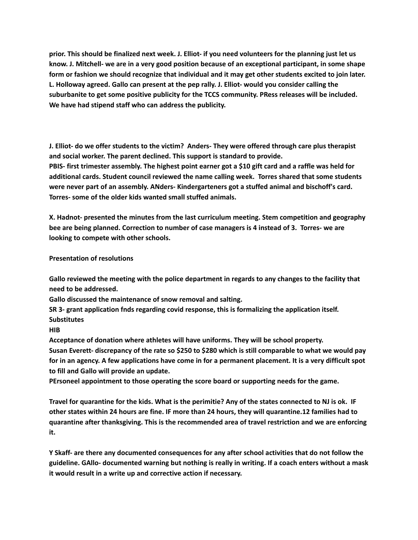prior. This should be finalized next week. J. Elliot- if you need volunteers for the planning just let us know. J. Mitchell- we are in a very good position because of an exceptional participant, in some shape form or fashion we should recognize that individual and it may get other students excited to join later. **L. Holloway agreed. Gallo can present at the pep rally. J. Elliot- would you consider calling the suburbanite to get some positive publicity for the TCCS community. PRess releases will be included. We have had stipend staff who can address the publicity.**

**J. Elliot- do we offer students to the victim? Anders- They were offered through care plus therapist and social worker. The parent declined. This support is standard to provide.** PBIS- first trimester assembly. The highest point earner got a \$10 gift card and a raffle was held for **additional cards. Student council reviewed the name calling week. Torres shared that some students were never part of an assembly. ANders- Kindergarteners got a stuffed animal and bischoff's card. Torres- some of the older kids wanted small stuffed animals.**

**X. Hadnot- presented the minutes from the last curriculum meeting. Stem competition and geography bee are being planned. Correction to number of case managers is 4 instead of 3. Torres- we are looking to compete with other schools.**

**Presentation of resolutions**

**Gallo reviewed the meeting with the police department in regards to any changes to the facility that need to be addressed.**

**Gallo discussed the maintenance of snow removal and salting.**

**SR 3- grant application fnds regarding covid response, this is formalizing the application itself. Substitutes**

**HIB**

**Acceptance of donation where athletes will have uniforms. They will be school property.** Susan Everett- discrepancy of the rate so \$250 to \$280 which is still comparable to what we would pay for in an agency. A few applications have come in for a permanent placement. It is a very difficult spot **to fill and Gallo will provide an update.**

**PErsoneel appointment to those operating the score board or supporting needs for the game.**

Travel for quarantine for the kids. What is the perimitie? Any of the states connected to NJ is ok. IF other states within 24 hours are fine. IF more than 24 hours, they will quarantine.12 families had to **quarantine after thanksgiving. This is the recommended area of travel restriction and we are enforcing it.**

**Y Skaff- are there any documented consequences for any after school activities that do not follow the guideline. GAllo- documented warning but nothing is really in writing. If a coach enters without a mask it would result in a write up and corrective action if necessary.**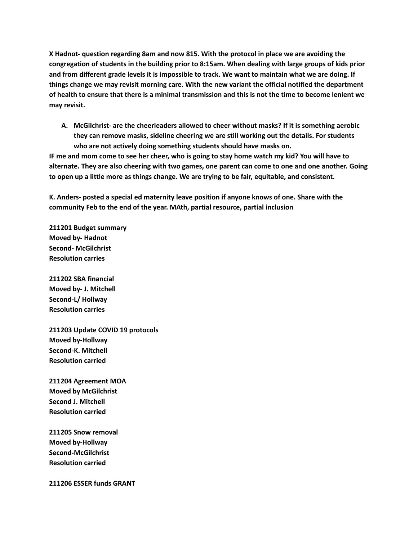**X Hadnot- question regarding 8am and now 815. With the protocol in place we are avoiding the congregation of students in the building prior to 8:15am. When dealing with large groups of kids prior** and from different grade levels it is impossible to track. We want to maintain what we are doing. If **things change we may revisit morning care. With the new variant the official notified the department** of health to ensure that there is a minimal transmission and this is not the time to become lenient we **may revisit.**

**A. McGilchrist- are the cheerleaders allowed to cheer without masks? If it is something aerobic they can remove masks, sideline cheering we are still working out the details. For students who are not actively doing something students should have masks on.**

IF me and mom come to see her cheer, who is going to stay home watch my kid? You will have to alternate. They are also cheering with two games, one parent can come to one and one another. Going **to open up a little more as things change. We are trying to be fair, equitable, and consistent.**

**K. Anders- posted a special ed maternity leave position if anyone knows of one. Share with the community Feb to the end of the year. MAth, partial resource, partial inclusion**

**211201 Budget summary Moved by- Hadnot Second- McGilchrist Resolution carries**

**211202 SBA financial Moved by- J. Mitchell Second-L/ Hollway Resolution carries**

**211203 Update COVID 19 protocols Moved by-Hollway Second-K. Mitchell Resolution carried**

**211204 Agreement MOA Moved by McGilchrist Second J. Mitchell Resolution carried**

**211205 Snow removal Moved by-Hollway Second-McGilchrist Resolution carried**

**211206 ESSER funds GRANT**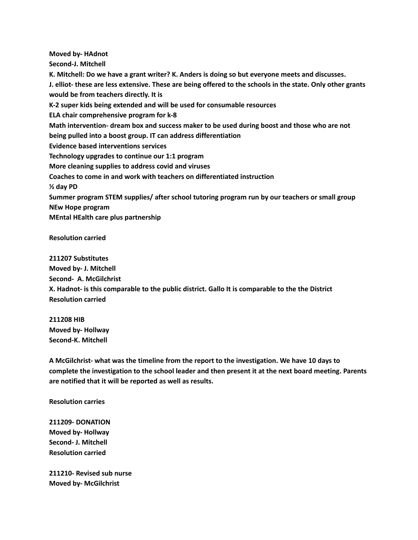**Moved by- HAdnot Second-J. Mitchell K. Mitchell: Do we have a grant writer? K. Anders is doing so but everyone meets and discusses.** J. elliot- these are less extensive. These are being offered to the schools in the state. Only other grants **would be from teachers directly. It is K-2 super kids being extended and will be used for consumable resources ELA chair comprehensive program for k-8 Math intervention- dream box and success maker to be used during boost and those who are not being pulled into a boost group. IT can address differentiation Evidence based interventions services Technology upgrades to continue our 1:1 program More cleaning supplies to address covid and viruses Coaches to come in and work with teachers on differentiated instruction ½ day PD Summer program STEM supplies/ after school tutoring program run by our teachers or small group NEw Hope program MEntal HEalth care plus partnership**

**Resolution carried**

**211207 Substitutes Moved by- J. Mitchell Second- A. McGilchrist X. Hadnot- is this comparable to the public district. Gallo It is comparable to the the District Resolution carried**

**211208 HIB Moved by- Hollway Second-K. Mitchell**

**A McGilchrist- what was the timeline from the report to the investigation. We have 10 days to complete the investigation to the school leader and then present it at the next board meeting. Parents are notified that it will be reported as well as results.**

**Resolution carries**

**211209- DONATION Moved by- Hollway Second- J. Mitchell Resolution carried**

**211210- Revised sub nurse Moved by- McGilchrist**